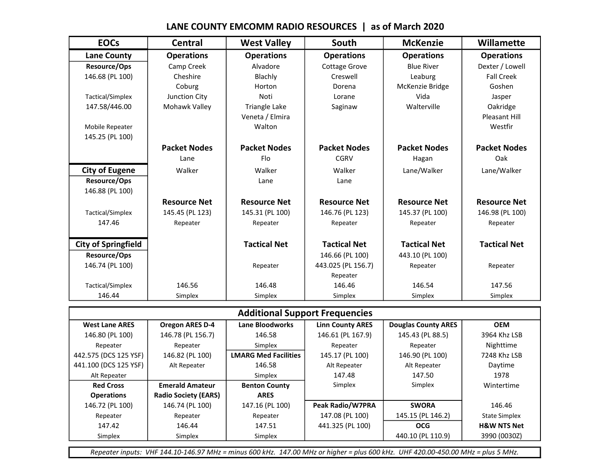### EOCs | Central | West Valley | South | McKenzie | Willamette Lane County | Operations | Operations | Operations | Operations | Operations Resource/Ops Camp Creek | Alvadore | Cottage Grove | Blue River | Dexter / Lowell 146.68 (PL 100)  $\begin{vmatrix} \text{Cheshire} \end{vmatrix}$  Blachly  $\begin{vmatrix} \text{Creswell} \end{vmatrix}$  Leaburg  $\begin{vmatrix} \text{Feal Creek} \end{vmatrix}$ Coburg | Horton | Dorena | McKenzie Bridge | Goshen Tactical/Simplex Junction City Noti Lorane Vida Jasper 147.58/446.00 | Mohawk Valley | Triangle Lake | Saginaw | Walterville | Oakridge Veneta / Elmira Pleasant Hill Mobile Repeater  $\begin{vmatrix} 1 & 1 & 1 \end{vmatrix}$  Walton  $\begin{vmatrix} 1 & 1 \end{vmatrix}$  Westfir 145.25 (PL 100) Packet Nodes | Packet Nodes | Packet Nodes | Packet Nodes | Packet Nodes Lane | Flo | CGRV | Hagan | Oak City of Eugene Walker | Walker | Walker | Walker | Lane/Walker | Lane/Walker Resource/Ops | Lane Lane Lane Lane 146.88 (PL 100) Resource Net | Resource Net | Resource Net | Resource Net | Resource Net Tactical/Simplex 145.45 (PL 123) 145.31 (PL 100) 146.76 (PL 123) 145.37 (PL 100) 146.98 (PL 100) 147.46 | Repeater | Repeater | Repeater | Repeater | Repeater | Repeater

City of Springfield | Tactical Net | Tactical Net | Tactical Net | Tactical Net

146.74 (PL 100) | Repeater | 443.025 (PL 156.7) Repeater | Repeater Repeater

Tactical/Simplex | 146.56 | 146.48 | 146.46 | 146.54 | 147.56

Repeater

Resource/Ops 146.66 (PL 100) 443.10 (PL 100)

### LANE COUNTY EMCOMM RADIO RESOURCES | as of March 2020

| 146.44                | Simplex                               | Simplex                     | Simplex                 | Simplex                    | Simplex                |  |  |
|-----------------------|---------------------------------------|-----------------------------|-------------------------|----------------------------|------------------------|--|--|
|                       | <b>Additional Support Frequencies</b> |                             |                         |                            |                        |  |  |
| <b>West Lane ARES</b> | <b>Oregon ARES D-4</b>                | Lane Bloodworks             | <b>Linn County ARES</b> | <b>Douglas County ARES</b> | <b>OEM</b>             |  |  |
| 146.80 (PL 100)       | 146.78 (PL 156.7)                     | 146.58                      | 146.61 (PL 167.9)       | 145.43 (PL 88.5)           | 3964 Khz LSB           |  |  |
| Repeater              | Repeater                              | Simplex                     | Repeater                | Repeater                   | Nighttime              |  |  |
| 442.575 (DCS 125 YSF) | 146.82 (PL 100)                       | <b>LMARG Med Facilities</b> | 145.17 (PL 100)         | 146.90 (PL 100)            | 7248 Khz LSB           |  |  |
| 441.100 (DCS 125 YSF) | Alt Repeater                          | 146.58                      | Alt Repeater            | Alt Repeater               | Daytime                |  |  |
| Alt Repeater          |                                       | Simplex                     | 147.48                  | 147.50                     | 1978                   |  |  |
| <b>Red Cross</b>      | <b>Emerald Amateur</b>                | <b>Benton County</b>        | Simplex                 | Simplex                    | Wintertime             |  |  |
| <b>Operations</b>     | <b>Radio Society (EARS)</b>           | <b>ARES</b>                 |                         |                            |                        |  |  |
| 146.72 (PL 100)       | 146.74 (PL 100)                       | 147.16 (PL 100)             | Peak Radio/W7PRA        | <b>SWORA</b>               | 146.46                 |  |  |
| Repeater              | Repeater                              | Repeater                    | 147.08 (PL 100)         | 145.15 (PL 146.2)          | <b>State Simplex</b>   |  |  |
| 147.42                | 146.44                                | 147.51                      | 441.325 (PL 100)        | <b>OCG</b>                 | <b>H&amp;W NTS Net</b> |  |  |
| Simplex               | Simplex                               | Simplex                     |                         | 440.10 (PL 110.9)          | 3990 (0030Z)           |  |  |

Repeater inputs: VHF 144.10-146.97 MHz = minus 600 kHz. 147.00 MHz or higher = plus 600 kHz. UHF 420.00-450.00 MHz = plus 5 MHz.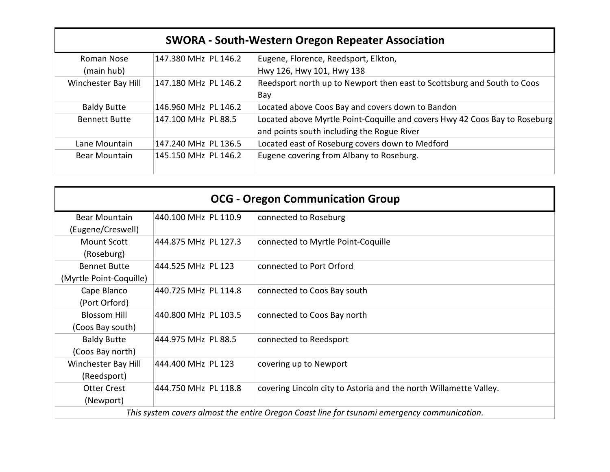| <b>SWORA - South-Western Oregon Repeater Association</b> |                      |                                                                            |  |
|----------------------------------------------------------|----------------------|----------------------------------------------------------------------------|--|
| Roman Nose                                               | 147.380 MHz PL 146.2 | Eugene, Florence, Reedsport, Elkton,                                       |  |
| (main hub)                                               |                      | Hwy 126, Hwy 101, Hwy 138                                                  |  |
| Winchester Bay Hill                                      | 147.180 MHz PL 146.2 | Reedsport north up to Newport then east to Scottsburg and South to Coos    |  |
|                                                          |                      | Bay                                                                        |  |
| <b>Baldy Butte</b>                                       | 146.960 MHz PL 146.2 | Located above Coos Bay and covers down to Bandon                           |  |
| <b>Bennett Butte</b>                                     | 147.100 MHz PL 88.5  | Located above Myrtle Point-Coquille and covers Hwy 42 Coos Bay to Roseburg |  |
|                                                          |                      | and points south including the Rogue River                                 |  |
| Lane Mountain                                            | 147.240 MHz PL 136.5 | Located east of Roseburg covers down to Medford                            |  |
| <b>Bear Mountain</b>                                     | 145.150 MHz PL 146.2 | Eugene covering from Albany to Roseburg.                                   |  |

|                                                |                      | <b>OCG - Oregon Communication Group</b>                                                     |
|------------------------------------------------|----------------------|---------------------------------------------------------------------------------------------|
| <b>Bear Mountain</b><br>(Eugene/Creswell)      | 440.100 MHz PL 110.9 | connected to Roseburg                                                                       |
| Mount Scott<br>(Roseburg)                      | 444.875 MHz PL 127.3 | connected to Myrtle Point-Coquille                                                          |
| <b>Bennet Butte</b><br>(Myrtle Point-Coquille) | 444.525 MHz PL 123   | connected to Port Orford                                                                    |
| Cape Blanco<br>(Port Orford)                   | 440.725 MHz PL 114.8 | connected to Coos Bay south                                                                 |
| <b>Blossom Hill</b><br>(Coos Bay south)        | 440.800 MHz PL 103.5 | connected to Coos Bay north                                                                 |
| <b>Baldy Butte</b><br>(Coos Bay north)         | 444.975 MHz PL 88.5  | connected to Reedsport                                                                      |
| Winchester Bay Hill<br>(Reedsport)             | 444.400 MHz PL 123   | covering up to Newport                                                                      |
| <b>Otter Crest</b><br>(Newport)                | 444.750 MHz PL 118.8 | covering Lincoln city to Astoria and the north Willamette Valley.                           |
|                                                |                      | This system covers almost the entire Oregon Coast line for tsunami emergency communication. |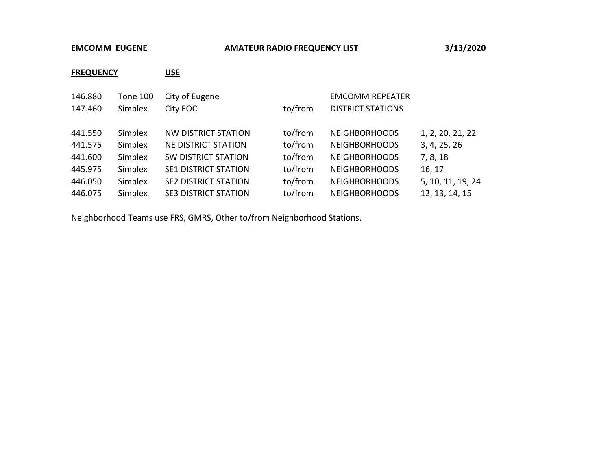### EMCOMM EUGENE **AMATEUR RADIO FREQUENCY LIST** 3/13/2020

# FREQUENCY USE

| 146.880 | <b>Tone 100</b> | City of Eugene              |         | <b>EMCOMM REPEATER</b>   |                   |
|---------|-----------------|-----------------------------|---------|--------------------------|-------------------|
| 147.460 | Simplex         | City EOC                    | to/from | <b>DISTRICT STATIONS</b> |                   |
|         |                 |                             |         |                          |                   |
| 441.550 | Simplex         | <b>NW DISTRICT STATION</b>  | to/from | <b>NEIGHBORHOODS</b>     | 1, 2, 20, 21, 22  |
| 441.575 | Simplex         | NE DISTRICT STATION         | to/from | <b>NEIGHBORHOODS</b>     | 3, 4, 25, 26      |
| 441.600 | Simplex         | <b>SW DISTRICT STATION</b>  | to/from | <b>NEIGHBORHOODS</b>     | 7, 8, 18          |
| 445.975 | Simplex         | SE1 DISTRICT STATION        | to/from | <b>NEIGHBORHOODS</b>     | 16, 17            |
| 446.050 | Simplex         | <b>SE2 DISTRICT STATION</b> | to/from | <b>NEIGHBORHOODS</b>     | 5, 10, 11, 19, 24 |
| 446.075 | Simplex         | <b>SE3 DISTRICT STATION</b> | to/from | <b>NEIGHBORHOODS</b>     | 12, 13, 14, 15    |

Neighborhood Teams use FRS, GMRS, Other to/from Neighborhood Stations.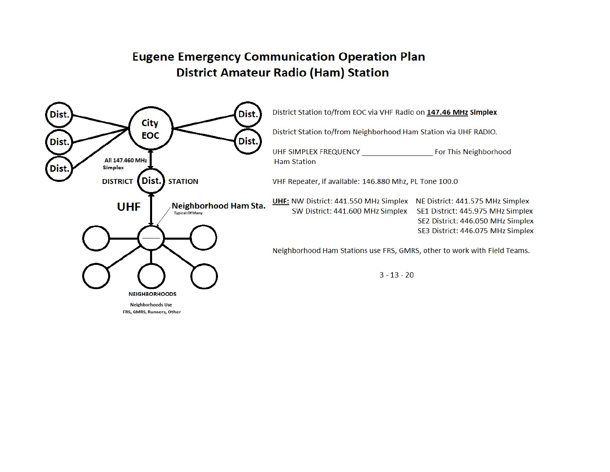# **Eugene Emergency Communication Operation Plan District Amateur Radio (Ham) Station**

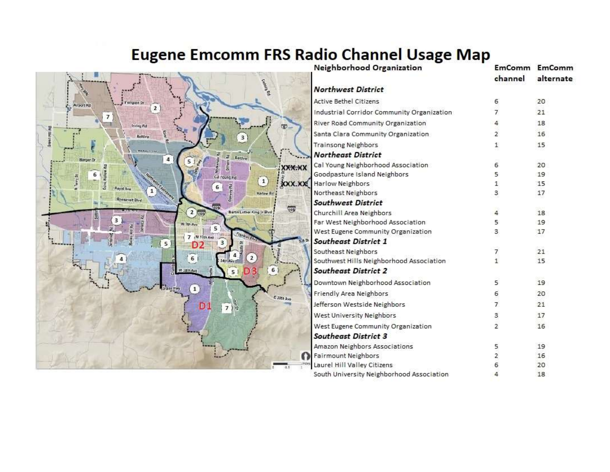# Eugene Emcomm FRS Radio Channel Usage Map



| Neighborhood Organization                  | EmComm         | <b>EmComm</b> |
|--------------------------------------------|----------------|---------------|
|                                            | channel        | alternate     |
| <b>Northwest District</b>                  |                |               |
| <b>Active Bethel Citizens</b>              | 6              | 20            |
| Industrial Corridor Community Organization | 7              | 21            |
| River Road Community Organization          | 4              | 18            |
| Santa Clara Community Organization         | $\mathbf{z}$   | 16            |
| <b>Trainsong Neighbors</b>                 | 1              | 15            |
| <b>Northeast District</b>                  |                |               |
| Cal Young Neighborhood Association         | 6.             | 20            |
| Goodpasture Island Neighbors               | 5.             | 19            |
| Harlow Neighbors                           | 1.             | 15            |
| Northeast Neighbors                        | З.             | 17            |
| <b>Southwest District</b>                  |                |               |
| Churchill Area Neighbors                   | 4              | 18            |
| Far West Neighborhood Association          | 5.             | 19            |
| West Eugene Community Organization         | 3              | 17            |
| <b>Southeast District 1</b>                |                |               |
| Southeast Neighbors                        | 7              | 21            |
| Southwest Hills Neighborhood Association   | $\overline{1}$ | 15            |
| <b>Southeast District 2</b>                |                |               |
| Downtown Neighborhood Association          | 5              | 19            |
| Friendly Area Neighbors                    | 6              | 20            |
| Jefferson Westside Neighbors               | 7              | 21            |
| West University Neighbors                  | 3              | 17            |
| West Eugene Community Organization         | $\overline{2}$ | 16            |
| <b>Southeast District 3</b>                |                |               |
| Amazon Neighbors Associations              | 5              | 19            |
| <b>Fairmount Neighbors</b>                 | $\overline{2}$ | 16            |
| Laurel Hill Valley Citizens                | 6              | 20            |
| South University Neighborhood Association  | 4              | 18            |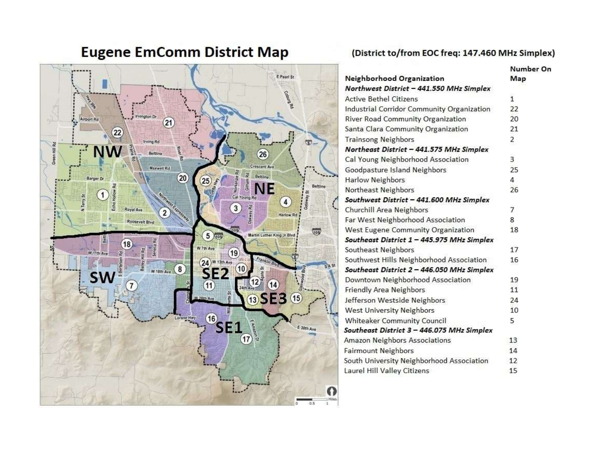#### E Pearl St coounged vington Dr Airport Rd  $(21)$  $\overline{22}$ **Irving Rd** ரு. Green Hill Rd **NW** gine<br>G Beltime  $(26)$ Maxwell Rd **Crescent Ave**  $\begin{array}{c}\n\overline{\mathcal{R}}_{\text{c}}^{\text{c}}\\ \n\overline{\mathcal{R}}_{\text{c}}^{\text{c}}\\ \n\overline{\mathcal{R}}_{\text{c}}^{\text{c}}\\ \n\overline{\mathcal{R}}_{\text{c}}^{\text{c}} \end{array}\begin{array}{c}\n\overline{\mathcal{R}}_{\text{c}}\\ \n\overline{\mathcal{R}}_{\text{c}}\\ \n\overline{\mathcal{R}}_{\text{c}} \end{array}\begin{array}{c}\n\overline{\mathcal{R}}_{\text{c}}\\ \n\overline{\mathcal{R}}_{\text{c}}\\ \n\end{array}$  $(20)$ Barger Dr  $(25)$ Beltime  $\overline{1}$  $\left( 4\right)$  $\Xi$ 3 Royal Ave  $\overline{2}$ Harlow Rd Roosevelt Blvd  $\overline{\sqrt{05}}$  $5)$ Martin Luther King Jr Blvd  $rac{1}{26}$  $(18)$ W 7th Ave  $(19)$ W 11th Ave š  $24$  w 13th Ave Frankl  $W$ 18th Ave  $(8)$  $(10)$  $\overline{\partial}{}_{2}$ **SW**  $(12)^4$  $\widehat{11}$  $(14)$ **13 SE3 15**  $-$ <sup>16</sup>SE1 Lorane Hwy  $\epsilon$  30th Ave  $\left(17\right)$   $\frac{6}{3}$  $\Omega$ **No.** Miles  $0.5$  $\pm$

# **Eugene EmComm District Map**

### (District to/from EOC freq: 147.460 MHz Simplex)

|                                            | Number On      |
|--------------------------------------------|----------------|
| Neighborhood Organization                  | Map            |
| Northwest District - 441.550 MHz Simplex   |                |
| <b>Active Bethel Citizens</b>              | $\overline{1}$ |
| Industrial Corridor Community Organization | 22             |
| River Road Community Organization          | 20             |
| Santa Clara Community Organization         | 21             |
| <b>Trainsong Neighbors</b>                 | 2              |
| Northeast District - 441.575 MHz Simplex   |                |
| Cal Young Neighborhood Association         | 3              |
| Goodpasture Island Neighbors               | 25             |
| <b>Harlow Neighbors</b>                    | 4              |
| Northeast Neighbors                        | 26             |
| Southwest District - 441.600 MHz Simplex   |                |
| Churchill Area Neighbors                   | 7              |
| Far West Neighborhood Association          | 8              |
| West Eugene Community Organization         | 18             |
| Southeast District 1 - 445.975 MHz Simplex |                |
| Southeast Neighbors                        | 17             |
| Southwest Hills Neighborhood Association   | 16             |
| Southeast District 2 - 446.050 MHz Simplex |                |
| Downtown Neighborhood Association          | 19             |
| Friendly Area Neighbors                    | 11             |
| Jefferson Westside Neighbors               | 24             |
| West University Neighbors                  | 10             |
| <b>Whiteaker Community Council</b>         | 5              |
| Southeast District 3 - 446.075 MHz Simplex |                |
| Amazon Neighbors Associations              | 13             |
| <b>Fairmount Neighbors</b>                 | 14             |
| South University Neighborhood Association  | 12             |
| Laurel Hill Valley Citizens                | 15             |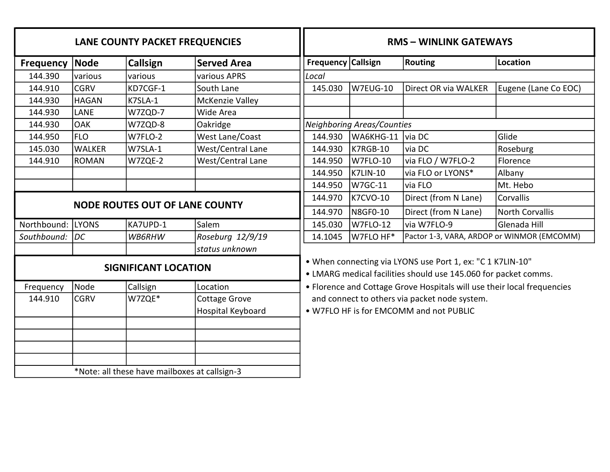|                  |                                                                                                                                                                                                                                 | LANE COUNTY PACKET FREQUENCIES        |                        |
|------------------|---------------------------------------------------------------------------------------------------------------------------------------------------------------------------------------------------------------------------------|---------------------------------------|------------------------|
| <b>Frequency</b> | Node                                                                                                                                                                                                                            | <b>Callsign</b>                       | <b>Served Area</b>     |
| 144.390          | various                                                                                                                                                                                                                         | various                               | various APRS           |
| 144.910          | <b>CGRV</b>                                                                                                                                                                                                                     | KD7CGF-1                              | South Lane             |
| 144.930          | <b>HAGAN</b>                                                                                                                                                                                                                    | K7SLA-1                               | McKenzie Valley        |
| 144.930          | <b>LANE</b>                                                                                                                                                                                                                     | W7ZQD-7                               | Wide Area              |
| 144.930          | <b>OAK</b>                                                                                                                                                                                                                      | W7ZQD-8                               | Oakridge               |
| 144.950          | <b>FLO</b>                                                                                                                                                                                                                      | W7FLO-2                               | <b>West Lane/Coast</b> |
| 145.030          | <b>WALKER</b>                                                                                                                                                                                                                   | W7SLA-1                               | West/Central Lane      |
| 144.910          | <b>ROMAN</b>                                                                                                                                                                                                                    | W7ZQE-2                               | West/Central Lane      |
|                  |                                                                                                                                                                                                                                 |                                       |                        |
|                  |                                                                                                                                                                                                                                 |                                       |                        |
|                  |                                                                                                                                                                                                                                 | <b>NODE ROUTES OUT OF LANE COUNTY</b> |                        |
|                  |                                                                                                                                                                                                                                 |                                       |                        |
| Northbound:      | <b>LYONS</b>                                                                                                                                                                                                                    | KA7UPD-1                              | Salem                  |
| Southbound:      | DC                                                                                                                                                                                                                              | WB6RHW                                | Roseburg 12/9/19       |
|                  |                                                                                                                                                                                                                                 | <b>SIGNIFICANT LOCATION</b>           | status unknown         |
| Frequency        | Node                                                                                                                                                                                                                            | Callsign                              | Location               |
| 144.910          | <b>CGRV</b>                                                                                                                                                                                                                     | W7ZQE*                                | Cottage Grove          |
|                  |                                                                                                                                                                                                                                 |                                       | Hospital Keyboard      |
|                  | $\Phi$ and a set of the set of the set of the set of the set of the set of the set of the set of the set of the set of the set of the set of the set of the set of the set of the set of the set of the set of the set of the s | $-11$                                 |                        |

\*Note: all these have mailboxes at callsign-3